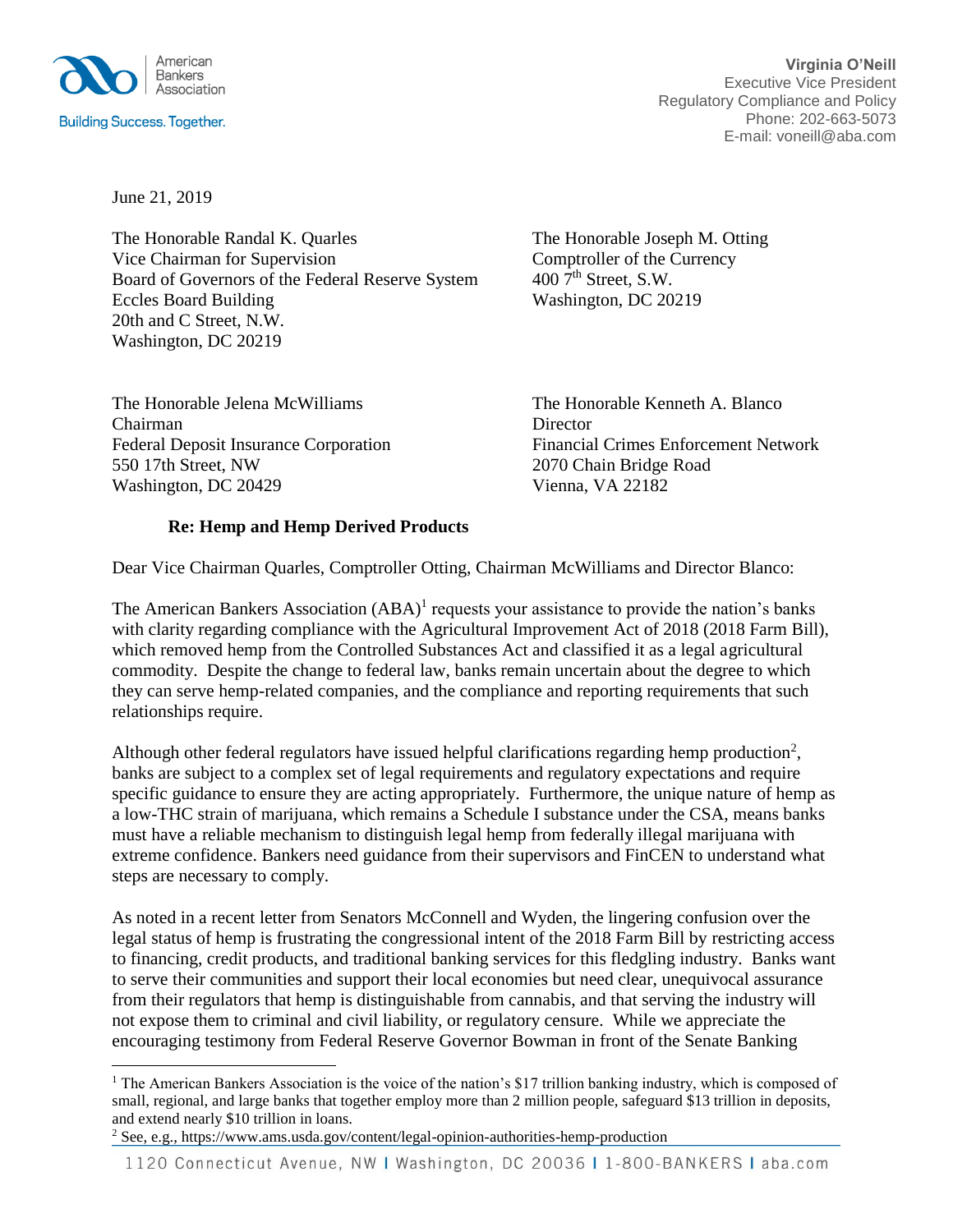

June 21, 2019

The Honorable Randal K. Quarles The Honorable Joseph M. Otting Vice Chairman for Supervision Comptroller of the Currency<br>Board of Governors of the Federal Reserve System  $4007^{\text{th}}$  Street, S.W. Board of Governors of the Federal Reserve System Eccles Board Building Washington, DC 20219 20th and C Street, N.W. Washington, DC 20219

Chairman Director 550 17th Street, NW 2070 Chain Bridge Road Washington, DC 20429 Vienna, VA 22182

The Honorable Jelena McWilliams The Honorable Kenneth A. Blanco Federal Deposit Insurance Corporation Financial Crimes Enforcement Network

## **Re: Hemp and Hemp Derived Products**

Dear Vice Chairman Quarles, Comptroller Otting, Chairman McWilliams and Director Blanco:

The American Bankers Association  $(ABA)^1$  requests your assistance to provide the nation's banks with clarity regarding compliance with the Agricultural Improvement Act of 2018 (2018 Farm Bill), which removed hemp from the Controlled Substances Act and classified it as a legal agricultural commodity. Despite the change to federal law, banks remain uncertain about the degree to which they can serve hemp-related companies, and the compliance and reporting requirements that such relationships require.

Although other federal regulators have issued helpful clarifications regarding hemp production<sup>2</sup>, banks are subject to a complex set of legal requirements and regulatory expectations and require specific guidance to ensure they are acting appropriately. Furthermore, the unique nature of hemp as a low-THC strain of marijuana, which remains a Schedule I substance under the CSA, means banks must have a reliable mechanism to distinguish legal hemp from federally illegal marijuana with extreme confidence. Bankers need guidance from their supervisors and FinCEN to understand what steps are necessary to comply.

As noted in a recent letter from Senators McConnell and Wyden, the lingering confusion over the legal status of hemp is frustrating the congressional intent of the 2018 Farm Bill by restricting access to financing, credit products, and traditional banking services for this fledgling industry. Banks want to serve their communities and support their local economies but need clear, unequivocal assurance from their regulators that hemp is distinguishable from cannabis, and that serving the industry will not expose them to criminal and civil liability, or regulatory censure. While we appreciate the encouraging testimony from Federal Reserve Governor Bowman in front of the Senate Banking

<sup>&</sup>lt;sup>1</sup> The American Bankers Association is the voice of the nation's \$17 trillion banking industry, which is composed of small, regional, and large banks that together employ more than 2 million people, safeguard \$13 trillion in deposits, and extend nearly \$10 trillion in loans.

<sup>2</sup> See, e.g., https://www.ams.usda.gov/content/legal-opinion-authorities-hemp-production